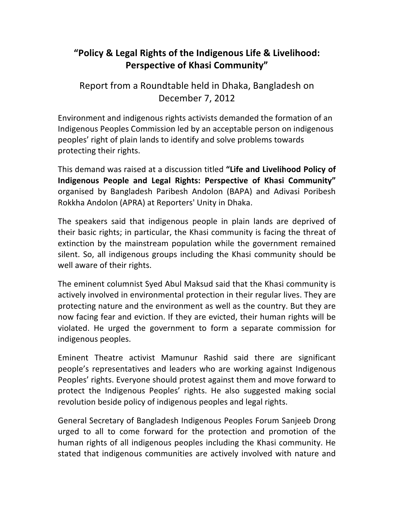## "Policy & Legal Rights of the Indigenous Life & Livelihood: **Perspective of Khasi Community"**

Report from a Roundtable held in Dhaka, Bangladesh on December 7, 2012

Environment and indigenous rights activists demanded the formation of an Indigenous Peoples Commission led by an acceptable person on indigenous peoples' right of plain lands to identify and solve problems towards protecting their rights.

This demand was raised at a discussion titled "Life and Livelihood Policy of Indigenous People and Legal Rights: Perspective of Khasi Community" organised by Bangladesh Paribesh Andolon (BAPA) and Adivasi Poribesh Rokkha Andolon (APRA) at Reporters' Unity in Dhaka.

The speakers said that indigenous people in plain lands are deprived of their basic rights; in particular, the Khasi community is facing the threat of extinction by the mainstream population while the government remained silent. So, all indigenous groups including the Khasi community should be well aware of their rights.

The eminent columnist Syed Abul Maksud said that the Khasi community is actively involved in environmental protection in their regular lives. They are protecting nature and the environment as well as the country. But they are now facing fear and eviction. If they are evicted, their human rights will be violated. He urged the government to form a separate commission for indigenous peoples.

Eminent Theatre activist Mamunur Rashid said there are significant people's representatives and leaders who are working against Indigenous Peoples' rights. Everyone should protest against them and move forward to protect the Indigenous Peoples' rights. He also suggested making social revolution beside policy of indigenous peoples and legal rights.

General Secretary of Bangladesh Indigenous Peoples Forum Sanjeeb Drong urged to all to come forward for the protection and promotion of the human rights of all indigenous peoples including the Khasi community. He stated that indigenous communities are actively involved with nature and